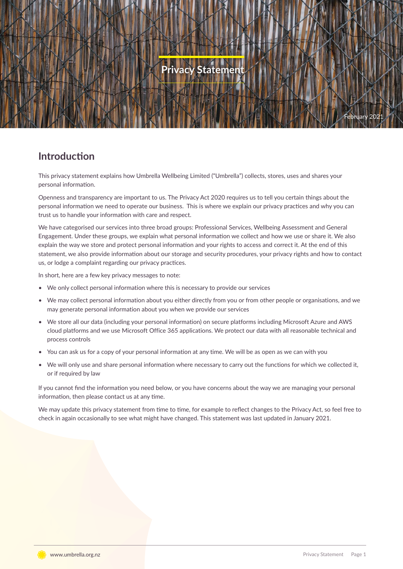# **Statemen** February 2021

# **Introduction**

This privacy statement explains how Umbrella Wellbeing Limited ("Umbrella") collects, stores, uses and shares your personal information.

Openness and transparency are important to us. The Privacy Act 2020 requires us to tell you certain things about the personal information we need to operate our business. This is where we explain our privacy practices and why you can trust us to handle your information with care and respect.

We have categorised our services into three broad groups: Professional Services, Wellbeing Assessment and General Engagement. Under these groups, we explain what personal information we collect and how we use or share it. We also explain the way we store and protect personal information and your rights to access and correct it. At the end of this statement, we also provide information about our storage and security procedures, your privacy rights and how to contact us, or lodge a complaint regarding our privacy practices.

In short, here are a few key privacy messages to note:

- We only collect personal information where this is necessary to provide our services
- We may collect personal information about you either directly from you or from other people or organisations, and we may generate personal information about you when we provide our services
- We store all our data (including your personal information) on secure platforms including Microsoft Azure and AWS cloud platforms and we use Microsoft Office 365 applications. We protect our data with all reasonable technical and process controls
- You can ask us for a copy of your personal information at any time. We will be as open as we can with you
- We will only use and share personal information where necessary to carry out the functions for which we collected it, or if required by law

If you cannot find the information you need below, or you have concerns about the way we are managing your personal information, then please contact us at any time.

We may update this privacy statement from time to time, for example to reflect changes to the Privacy Act, so feel free to check in again occasionally to see what might have changed. This statement was last updated in January 2021.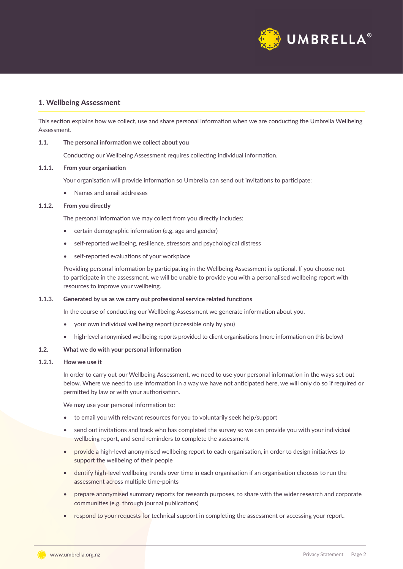

# **1. Wellbeing Assessment**

This section explains how we collect, use and share personal information when we are conducting the Umbrella Wellbeing Assessment.

# **1.1. The personal information we collect about you**

Conducting our Wellbeing Assessment requires collecting individual information.

# **1.1.1. From your organisation**

Your organisation will provide information so Umbrella can send out invitations to participate:

• Names and email addresses

# **1.1.2. From you directly**

The personal information we may collect from you directly includes:

- certain demographic information (e.g. age and gender)
- self-reported wellbeing, resilience, stressors and psychological distress
- self-reported evaluations of your workplace

Providing personal information by participating in the Wellbeing Assessment is optional. If you choose not to participate in the assessment, we will be unable to provide you with a personalised wellbeing report with resources to improve your wellbeing.

# **1.1.3. Generated by us as we carry out professional service related functions**

In the course of conducting our Wellbeing Assessment we generate information about you.

- your own individual wellbeing report (accessible only by you)
- high-level anonymised wellbeing reports provided to client organisations (more information on this below)

# **1.2. What we do with your personal information**

# **1.2.1. How we use it**

In order to carry out our Wellbeing Assessment, we need to use your personal information in the ways set out below. Where we need to use information in a way we have not anticipated here, we will only do so if required or permitted by law or with your authorisation.

We may use your personal information to:

- to email you with relevant resources for you to voluntarily seek help/support
- send out invitations and track who has completed the survey so we can provide you with your individual wellbeing report, and send reminders to complete the assessment
- provide a high-level anonymised wellbeing report to each organisation, in order to design initiatives to support the wellbeing of their people
- dentify high-level wellbeing trends over time in each organisation if an organisation chooses to run the assessment across multiple time-points
- prepare anonymised summary reports for research purposes, to share with the wider research and corporate communities (e.g. through journal publications)
- respond to your requests for technical support in completing the assessment or accessing your report.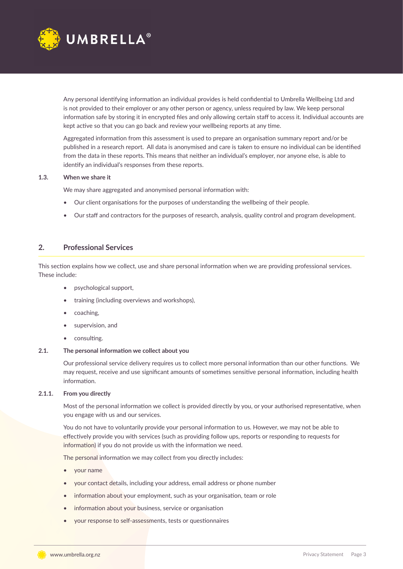

Any personal identifying information an individual provides is held confidential to Umbrella Wellbeing Ltd and is not provided to their employer or any other person or agency, unless required by law. We keep personal information safe by storing it in encrypted files and only allowing certain staff to access it. Individual accounts are kept active so that you can go back and review your wellbeing reports at any time.

Aggregated information from this assessment is used to prepare an organisation summary report and/or be published in a research report. All data is anonymised and care is taken to ensure no individual can be identified from the data in these reports. This means that neither an individual's employer, nor anyone else, is able to identify an individual's responses from these reports.

# **1.3. When we share it**

We may share aggregated and anonymised personal information with:

- Our client organisations for the purposes of understanding the wellbeing of their people.
- Our staff and contractors for the purposes of research, analysis, quality control and program development.

# **2. Professional Services**

This section explains how we collect, use and share personal information when we are providing professional services. These include:

- psychological support,
- training (including overviews and workshops),
- coaching,
- supervision, and
- consulting.

# **2.1. The personal information we collect about you**

Our professional service delivery requires us to collect more personal information than our other functions. We may request, receive and use significant amounts of sometimes sensitive personal information, including health information.

# **2.1.1. From you directly**

Most of the personal information we collect is provided directly by you, or your authorised representative, when you engage with us and our services.

You do not have to voluntarily provide your personal information to us. However, we may not be able to effectively provide you with services (such as providing follow ups, reports or responding to requests for information) if you do not provide us with the information we need.

The personal information we may collect from you directly includes:

- your name
- your contact details, including your address, email address or phone number
- information about your employment, such as your organisation, team or role
- information about your business, service or organisation
- your response to self-assessments, tests or questionnaires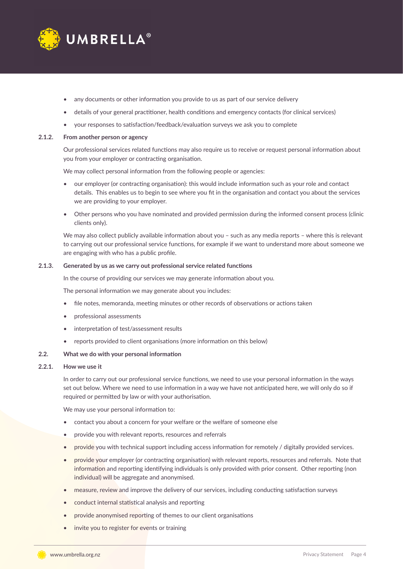

- any documents or other information you provide to us as part of our service delivery
- details of your general practitioner, health conditions and emergency contacts (for clinical services)
- your responses to satisfaction/feedback/evaluation surveys we ask you to complete

# **2.1.2. From another person or agency**

Our professional services related functions may also require us to receive or request personal information about you from your employer or contracting organisation.

We may collect personal information from the following people or agencies:

- our employer (or contracting organisation): this would include information such as your role and contact details. This enables us to begin to see where you fit in the organisation and contact you about the services we are providing to your employer.
- Other persons who you have nominated and provided permission during the informed consent process (clinic clients only).

We may also collect publicly available information about you - such as any media reports - where this is relevant to carrying out our professional service functions, for example if we want to understand more about someone we are engaging with who has a public profile.

# **2.1.3. Generated by us as we carry out professional service related functions**

In the course of providing our services we may generate information about you.

The personal information we may generate about you includes:

- file notes, memoranda, meeting minutes or other records of observations or actions taken
- professional assessments
- interpretation of test/assessment results
- reports provided to client organisations (more information on this below)

# **2.2. What we do with your personal information**

# **2.2.1. How we use it**

In order to carry out our professional service functions, we need to use your personal information in the ways set out below. Where we need to use information in a way we have not anticipated here, we will only do so if required or permitted by law or with your authorisation.

We may use your personal information to:

- contact you about a concern for your welfare or the welfare of someone else
- provide you with relevant reports, resources and referrals
- provide you with technical support including access information for remotely / digitally provided services.
- provide your employer (or contracting organisation) with relevant reports, resources and referrals. Note that information and reporting identifying individuals is only provided with prior consent. Other reporting (non individual) will be aggregate and anonymised.
- measure, review and improve the delivery of our services, including conducting satisfaction surveys
- conduct internal statistical analysis and reporting
- provide anonymised reporting of themes to our client organisations
- invite you to register for events or training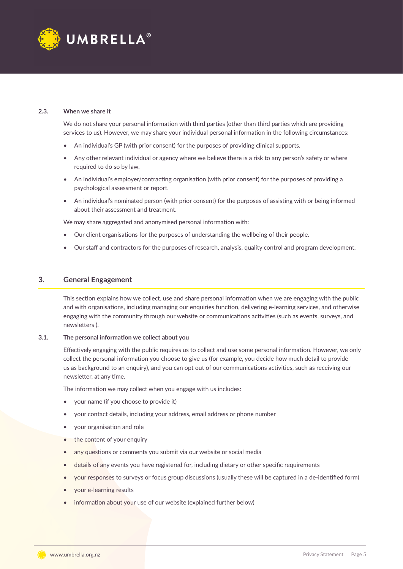

# **2.3. When we share it**

We do not share your personal information with third parties (other than third parties which are providing services to us). However, we may share your individual personal information in the following circumstances:

- An individual's GP (with prior consent) for the purposes of providing clinical supports.
- Any other relevant individual or agency where we believe there is a risk to any person's safety or where required to do so by law.
- An individual's employer/contracting organisation (with prior consent) for the purposes of providing a psychological assessment or report.
- An individual's nominated person (with prior consent) for the purposes of assisting with or being informed about their assessment and treatment.

We may share aggregated and anonymised personal information with:

- Our client organisations for the purposes of understanding the wellbeing of their people.
- Our staff and contractors for the purposes of research, analysis, quality control and program development.

# **3. General Engagement**

This section explains how we collect, use and share personal information when we are engaging with the public and with organisations, including managing our enquiries function, delivering e-learning services, and otherwise engaging with the community through our website or communications activities (such as events, surveys, and newsletters ).

# **3.1. The personal information we collect about you**

Effectively engaging with the public requires us to collect and use some personal information. However, we only collect the personal information you choose to give us (for example, you decide how much detail to provide us as background to an enquiry), and you can opt out of our communications activities, such as receiving our newsletter, at any time.

The information we may collect when you engage with us includes:

- your name (if you choose to provide it)
- your contact details, including your address, email address or phone number
- your organisation and role
- the content of your enquiry
- any questions or comments you submit via our website or social media
- details of any events you have registered for, including dietary or other specific requirements
- your responses to surveys or focus group discussions (usually these will be captured in a de-identified form)
- your e-learning results
- information about your use of our website (explained further below)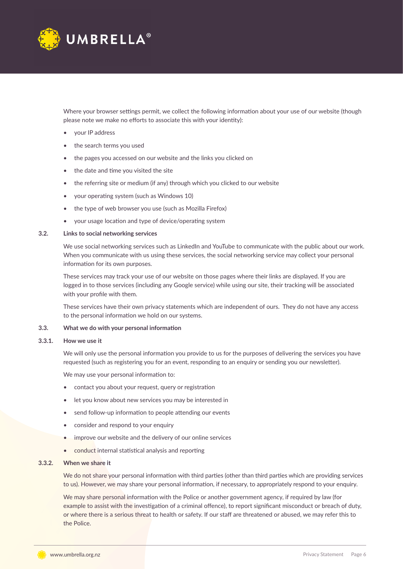

Where your browser settings permit, we collect the following information about your use of our website (though please note we make no efforts to associate this with your identity):

- your IP address
- the search terms you used
- the pages you accessed on our website and the links you clicked on
- the date and time you visited the site
- the referring site or medium (if any) through which you clicked to our website
- your operating system (such as Windows 10)
- the type of web browser you use (such as Mozilla Firefox)
- your usage location and type of device/operating system

# **3.2. Links to social networking services**

We use social networking services such as LinkedIn and YouTube to communicate with the public about our work. When you communicate with us using these services, the social networking service may collect your personal information for its own purposes.

These services may track your use of our website on those pages where their links are displayed. If you are logged in to those services (including any Google service) while using our site, their tracking will be associated with your profile with them.

These services have their own privacy statements which are independent of ours. They do not have any access to the personal information we hold on our systems.

# **3.3. What we do with your personal information**

### **3.3.1. How we use it**

We will only use the personal information you provide to us for the purposes of delivering the services you have requested (such as registering you for an event, responding to an enquiry or sending you our newsletter).

We may use your personal information to:

- contact you about your request, query or registration
- let you know about new services you may be interested in
- send follow-up information to people attending our events
- consider and respond to your enquiry
- improve our website and the delivery of our online services
- conduct internal statistical analysis and reporting

### **3.3.2. When we share it**

We do not share your personal information with third parties (other than third parties which are providing services to us). However, we may share your personal information, if necessary, to appropriately respond to your enquiry.

We may share personal information with the Police or another government agency, if required by law (for example to assist with the investigation of a criminal offence), to report significant misconduct or breach of duty, or where there is a serious threat to health or safety. If our staff are threatened or abused, we may refer this to the Police.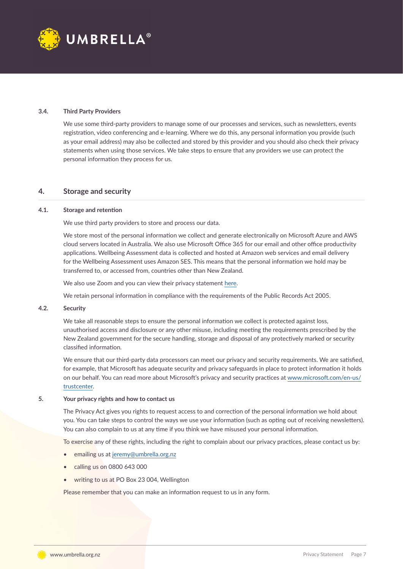

# **3.4. Third Party Providers**

We use some third-party providers to manage some of our processes and services, such as newsletters, events registration, video conferencing and e-learning. Where we do this, any personal information you provide (such as your email address) may also be collected and stored by this provider and you should also check their privacy statements when using those services. We take steps to ensure that any providers we use can protect the personal information they process for us.

# **4. Storage and security**

# **4.1. Storage and retention**

We use third party providers to store and process our data.

We store most of the personal information we collect and generate electronically on Microsoft Azure and AWS cloud servers located in Australia. We also use Microsoft Office 365 for our email and other office productivity applications. Wellbeing Assessment data is collected and hosted at Amazon web services and email delivery for the Wellbeing Assessment uses Amazon SES. This means that the personal information we hold may be transferred to, or accessed from, countries other than New Zealand.

We also use Zoom and you can view their privacy statement [here](https://zoom.us/privacy).

We retain personal information in compliance with the requirements of the Public Records Act 2005.

# **4.2. Security**

We take all reasonable steps to ensure the personal information we collect is protected against loss, unauthorised access and disclosure or any other misuse, including meeting the requirements prescribed by the New Zealand government for the secure handling, storage and disposal of any protectively marked or security classified information.

We ensure that our third-party data processors can meet our privacy and security requirements. We are satisfied, for example, that Microsoft has adequate security and privacy safeguards in place to protect information it holds on our behalf. You can read more about Microsoft's privacy and security practices at [www.microsoft.com/en-us/](http://www.microsoft.com/en-us/trustcenter) [trustcenter](http://www.microsoft.com/en-us/trustcenter).

# **5. Your privacy rights and how to contact us**

The Privacy Act gives you rights to request access to and correction of the personal information we hold about you. You can take steps to control the ways we use your information (such as opting out of receiving newsletters). You can also complain to us at any time if you think we have misused your personal information.

To exercise any of these rights, including the right to complain about our privacy practices, please contact us by:

- emailing us at [jeremy@umbrella.org.nz](file:jeremy%40umbrella.org.nz)
- calling us on 0800 643 000
- writing to us at PO Box 23 004, Wellington

Please remember that you can make an information request to us in any form.